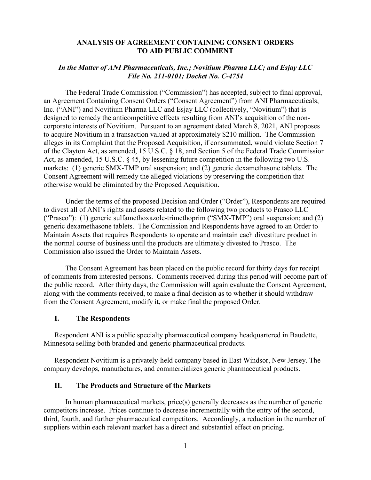## **ANALYSIS OF AGREEMENT CONTAINING CONSENT ORDERS TO AID PUBLIC COMMENT**

# *In the Matter of ANI Pharmaceuticals, Inc.; Novitium Pharma LLC; and Esjay LLC File No. 211-0101; Docket No. C-4754*

The Federal Trade Commission ("Commission") has accepted, subject to final approval, an Agreement Containing Consent Orders ("Consent Agreement") from ANI Pharmaceuticals, Inc. ("ANI") and Novitium Pharma LLC and Esjay LLC (collectively, "Novitium") that is designed to remedy the anticompetitive effects resulting from ANI's acquisition of the noncorporate interests of Novitium. Pursuant to an agreement dated March 8, 2021, ANI proposes to acquire Novitium in a transaction valued at approximately \$210 million. The Commission alleges in its Complaint that the Proposed Acquisition, if consummated, would violate Section 7 of the Clayton Act, as amended, 15 U.S.C. § 18, and Section 5 of the Federal Trade Commission Act, as amended, 15 U.S.C. § 45, by lessening future competition in the following two U.S. markets: (1) generic SMX-TMP oral suspension; and (2) generic dexamethasone tablets. The Consent Agreement will remedy the alleged violations by preserving the competition that otherwise would be eliminated by the Proposed Acquisition.

Under the terms of the proposed Decision and Order ("Order"), Respondents are required to divest all of ANI's rights and assets related to the following two products to Prasco LLC ("Prasco"): (1) generic sulfamethoxazole-trimethoprim ("SMX-TMP") oral suspension; and (2) generic dexamethasone tablets. The Commission and Respondents have agreed to an Order to Maintain Assets that requires Respondents to operate and maintain each divestiture product in the normal course of business until the products are ultimately divested to Prasco. The Commission also issued the Order to Maintain Assets.

The Consent Agreement has been placed on the public record for thirty days for receipt of comments from interested persons. Comments received during this period will become part of the public record. After thirty days, the Commission will again evaluate the Consent Agreement, along with the comments received, to make a final decision as to whether it should withdraw from the Consent Agreement, modify it, or make final the proposed Order.

# **I. The Respondents**

Respondent ANI is a public specialty pharmaceutical company headquartered in Baudette, Minnesota selling both branded and generic pharmaceutical products.

Respondent Novitium is a privately-held company based in East Windsor, New Jersey. The company develops, manufactures, and commercializes generic pharmaceutical products.

#### **II. The Products and Structure of the Markets**

In human pharmaceutical markets, price(s) generally decreases as the number of generic competitors increase. Prices continue to decrease incrementally with the entry of the second, third, fourth, and further pharmaceutical competitors. Accordingly, a reduction in the number of suppliers within each relevant market has a direct and substantial effect on pricing.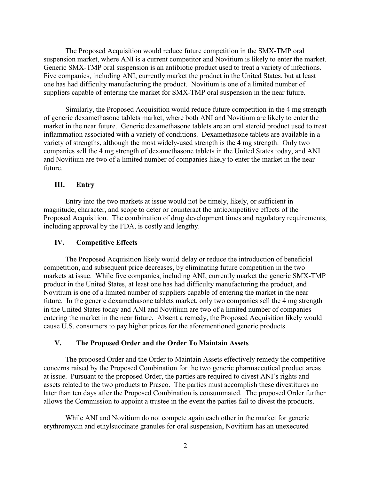The Proposed Acquisition would reduce future competition in the SMX-TMP oral suspension market, where ANI is a current competitor and Novitium is likely to enter the market. Generic SMX-TMP oral suspension is an antibiotic product used to treat a variety of infections. Five companies, including ANI, currently market the product in the United States, but at least one has had difficulty manufacturing the product. Novitium is one of a limited number of suppliers capable of entering the market for SMX-TMP oral suspension in the near future.

Similarly, the Proposed Acquisition would reduce future competition in the 4 mg strength of generic dexamethasone tablets market, where both ANI and Novitium are likely to enter the market in the near future. Generic dexamethasone tablets are an oral steroid product used to treat inflammation associated with a variety of conditions. Dexamethasone tablets are available in a variety of strengths, although the most widely-used strength is the 4 mg strength. Only two companies sell the 4 mg strength of dexamethasone tablets in the United States today, and ANI and Novitium are two of a limited number of companies likely to enter the market in the near future.

## **III. Entry**

Entry into the two markets at issue would not be timely, likely, or sufficient in magnitude, character, and scope to deter or counteract the anticompetitive effects of the Proposed Acquisition. The combination of drug development times and regulatory requirements, including approval by the FDA, is costly and lengthy.

#### **IV. Competitive Effects**

The Proposed Acquisition likely would delay or reduce the introduction of beneficial competition, and subsequent price decreases, by eliminating future competition in the two markets at issue. While five companies, including ANI, currently market the generic SMX-TMP product in the United States, at least one has had difficulty manufacturing the product, and Novitium is one of a limited number of suppliers capable of entering the market in the near future. In the generic dexamethasone tablets market, only two companies sell the 4 mg strength in the United States today and ANI and Novitium are two of a limited number of companies entering the market in the near future. Absent a remedy, the Proposed Acquisition likely would cause U.S. consumers to pay higher prices for the aforementioned generic products.

### **V. The Proposed Order and the Order To Maintain Assets**

The proposed Order and the Order to Maintain Assets effectively remedy the competitive concerns raised by the Proposed Combination for the two generic pharmaceutical product areas at issue. Pursuant to the proposed Order, the parties are required to divest ANI's rights and assets related to the two products to Prasco. The parties must accomplish these divestitures no later than ten days after the Proposed Combination is consummated. The proposed Order further allows the Commission to appoint a trustee in the event the parties fail to divest the products.

While ANI and Novitium do not compete again each other in the market for generic erythromycin and ethylsuccinate granules for oral suspension, Novitium has an unexecuted